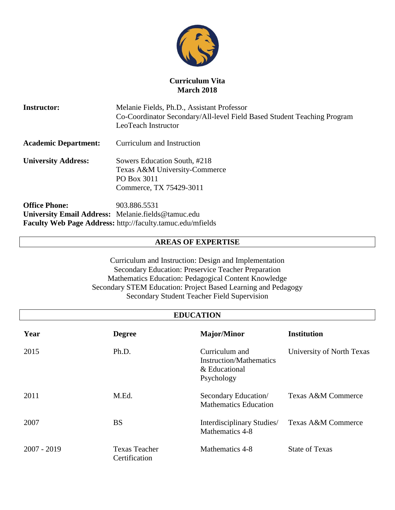

# **Curriculum Vita March 2018**

**Instructor:** Melanie Fields, Ph.D., Assistant Professor Co-Coordinator Secondary/All-level Field Based Student Teaching Program LeoTeach Instructor **Academic Department:** Curriculum and Instruction **University Address:** Sowers Education South, #218 Texas A&M University-Commerce PO Box 3011 Commerce, TX 75429-3011 **Office Phone:** 903.886.5531

**University Email Address:** Melanie.fields@tamuc.edu **Faculty Web Page Address:** http://faculty.tamuc.edu/mfields

# **AREAS OF EXPERTISE**

Curriculum and Instruction: Design and Implementation Secondary Education: Preservice Teacher Preparation Mathematics Education: Pedagogical Content Knowledge Secondary STEM Education: Project Based Learning and Pedagogy Secondary Student Teacher Field Supervision

| <b>EDUCATION</b> |                                       |                                                                                 |                           |
|------------------|---------------------------------------|---------------------------------------------------------------------------------|---------------------------|
| Year             | <b>Degree</b>                         | <b>Major/Minor</b>                                                              | Institution               |
| 2015             | Ph.D.                                 | Curriculum and<br><b>Instruction/Mathematics</b><br>& Educational<br>Psychology | University of North Texas |
| 2011             | M.Ed.                                 | Secondary Education/<br><b>Mathematics Education</b>                            | Texas A&M Commerce        |
| 2007             | <b>BS</b>                             | Interdisciplinary Studies/<br>Mathematics 4-8                                   | Texas A&M Commerce        |
| 2007 - 2019      | <b>Texas Teacher</b><br>Certification | Mathematics 4-8                                                                 | <b>State of Texas</b>     |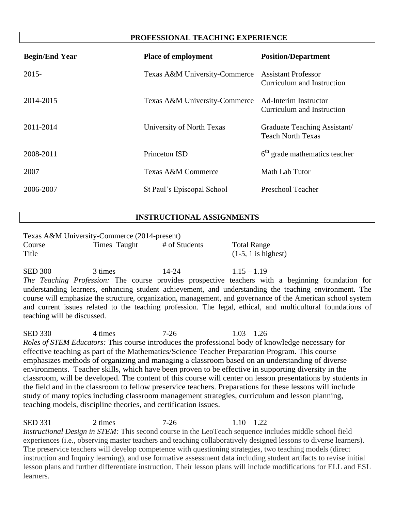# **PROFESSIONAL TEACHING EXPERIENCE**

| <b>Begin/End Year</b> | <b>Place of employment</b>    | <b>Position/Department</b>                               |
|-----------------------|-------------------------------|----------------------------------------------------------|
| $2015 -$              | Texas A&M University-Commerce | <b>Assistant Professor</b><br>Curriculum and Instruction |
| 2014-2015             | Texas A&M University-Commerce | Ad-Interim Instructor<br>Curriculum and Instruction      |
| 2011-2014             | University of North Texas     | Graduate Teaching Assistant/<br><b>Teach North Texas</b> |
| 2008-2011             | Princeton ISD                 | $6th$ grade mathematics teacher                          |
| 2007                  | Texas A&M Commerce            | Math Lab Tutor                                           |
| 2006-2007             | St Paul's Episcopal School    | Preschool Teacher                                        |

# **INSTRUCTIONAL ASSIGNMENTS**

| Texas A&M University-Commerce (2014-present) |              |               |                                             |
|----------------------------------------------|--------------|---------------|---------------------------------------------|
| Course<br>Title                              | Times Taught | # of Students | <b>Total Range</b><br>$(1-5, 1$ is highest) |
| <b>SED 300</b>                               | 3 times      | $14 - 24$     | $1.15 - 1.19$                               |

*The Teaching Profession:* The course provides prospective teachers with a beginning foundation for understanding learners, enhancing student achievement, and understanding the teaching environment. The course will emphasize the structure, organization, management, and governance of the American school system and current issues related to the teaching profession. The legal, ethical, and multicultural foundations of teaching will be discussed.

SED 330 4 times 7-26 1.03 – 1.26 *Roles of STEM Educators:* This course introduces the professional body of knowledge necessary for effective teaching as part of the Mathematics/Science Teacher Preparation Program. This course emphasizes methods of organizing and managing a classroom based on an understanding of diverse environments. Teacher skills, which have been proven to be effective in supporting diversity in the classroom, will be developed. The content of this course will center on lesson presentations by students in the field and in the classroom to fellow preservice teachers. Preparations for these lessons will include study of many topics including classroom management strategies, curriculum and lesson planning, teaching models, discipline theories, and certification issues.

SED 331 2 times 7-26 1.10 – 1.22 *Instructional Design in STEM:* This second course in the LeoTeach sequence includes middle school field experiences (i.e., observing master teachers and teaching collaboratively designed lessons to diverse learners). The preservice teachers will develop competence with questioning strategies, two teaching models (direct instruction and Inquiry learning), and use formative assessment data including student artifacts to revise initial lesson plans and further differentiate instruction. Their lesson plans will include modifications for ELL and ESL learners.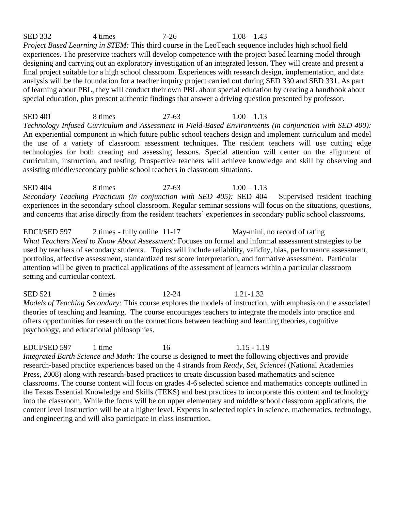SED 332 4 times 7-26 1.08 – 1.43 *Project Based Learning in STEM:* This third course in the LeoTeach sequence includes high school field experiences. The preservice teachers will develop competence with the project based learning model through designing and carrying out an exploratory investigation of an integrated lesson. They will create and present a final project suitable for a high school classroom. Experiences with research design, implementation, and data analysis will be the foundation for a teacher inquiry project carried out during SED 330 and SED 331. As part of learning about PBL, they will conduct their own PBL about special education by creating a handbook about special education, plus present authentic findings that answer a driving question presented by professor.

SED 401 8 times 27-63 1.00 – 1.13 *Technology Infused Curriculum and Assessment in Field-Based Environments (in conjunction with SED 400):* An experiential component in which future public school teachers design and implement curriculum and model the use of a variety of classroom assessment techniques. The resident teachers will use cutting edge technologies for both creating and assessing lessons. Special attention will center on the alignment of curriculum, instruction, and testing. Prospective teachers will achieve knowledge and skill by observing and assisting middle/secondary public school teachers in classroom situations.

SED 404 8 times 27-63 1.00 – 1.13 *Secondary Teaching Practicum (in conjunction with SED 405):* SED 404 – Supervised resident teaching experiences in the secondary school classroom. Regular seminar sessions will focus on the situations, questions, and concerns that arise directly from the resident teachers' experiences in secondary public school classrooms.

EDCI/SED 597 2 times - fully online 11-17 May-mini, no record of rating *What Teachers Need to Know About Assessment:* Focuses on formal and informal assessment strategies to be used by teachers of secondary students. Topics will include reliability, validity, bias, performance assessment, portfolios, affective assessment, standardized test score interpretation, and formative assessment. Particular attention will be given to practical applications of the assessment of learners within a particular classroom setting and curricular context.

SED 521 2 times 12-24 1.21-1.32 *Models of Teaching Secondary:* This course explores the models of instruction, with emphasis on the associated theories of teaching and learning. The course encourages teachers to integrate the models into practice and offers opportunities for research on the connections between teaching and learning theories, cognitive psychology, and educational philosophies.

EDCI/SED 597 1 time 16 1.15 - 1.19 *Integrated Earth Science and Math:* The course is designed to meet the following objectives and provide research-based practice experiences based on the 4 strands from *Ready, Set, Science!* (National Academies Press, 2008) along with research-based practices to create discussion based mathematics and science classrooms. The course content will focus on grades 4-6 selected science and mathematics concepts outlined in the Texas Essential Knowledge and Skills (TEKS) and best practices to incorporate this content and technology into the classroom. While the focus will be on upper elementary and middle school classroom applications, the content level instruction will be at a higher level. Experts in selected topics in science, mathematics, technology, and engineering and will also participate in class instruction.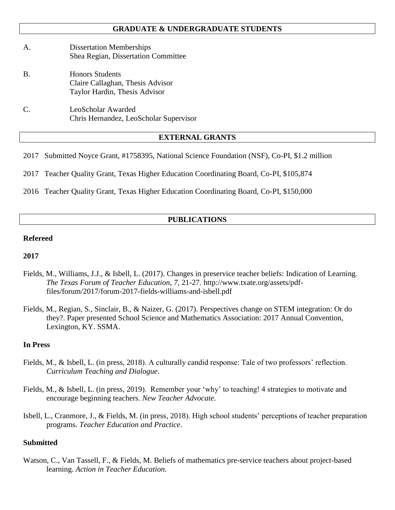## **GRADUATE & UNDERGRADUATE STUDENTS**

- A. Dissertation Memberships Shea Regian, Dissertation Committee
- B. Honors Students Claire Callaghan, Thesis Advisor Taylor Hardin, Thesis Advisor
- C. LeoScholar Awarded Chris Hernandez, LeoScholar Supervisor

### **EXTERNAL GRANTS**

2017 Submitted Noyce Grant, #1758395, National Science Foundation (NSF), Co-PI, \$1.2 million

2017 Teacher Quality Grant, Texas Higher Education Coordinating Board, Co-PI, \$105,874

2016 Teacher Quality Grant, Texas Higher Education Coordinating Board, Co-PI, \$150,000

# **PUBLICATIONS**

# **Refereed**

#### **2017**

- Fields, M., Williams, J.J., & Isbell, L. (2017). Changes in preservice teacher beliefs: Indication of Learning. *The Texas Forum of Teacher Education, 7,* 21-27*.* [http://www.txate.org/assets/pdf](http://www.txate.org/assets/pdf-files/forum/2017/forum-2017-fields-williams-and-isbell.pdf)[files/forum/2017/forum-2017-fields-williams-and-isbell.pdf](http://www.txate.org/assets/pdf-files/forum/2017/forum-2017-fields-williams-and-isbell.pdf)
- Fields, M., Regian, S., Sinclair, B., & Naizer, G. (2017). Perspectives change on STEM integration: Or do they?. Paper presented School Science and Mathematics Association: 2017 Annual Convention, Lexington, KY. SSMA.

#### **In Press**

- Fields, M., & Isbell, L. (in press, 2018). A culturally candid response: Tale of two professors' reflection. *Curriculum Teaching and Dialogue*.
- Fields, M., & Isbell, L. (in press, 2019). Remember your 'why' to teaching! 4 strategies to motivate and encourage beginning teachers. *New Teacher Advocate*.
- Isbell, L., Cranmore, J., & Fields, M. (in press, 2018). High school students' perceptions of teacher preparation programs*. Teacher Education and Practice*.

### **Submitted**

Watson, C., Van Tassell, F., & Fields, M. Beliefs of mathematics pre-service teachers about project-based learning. *Action in Teacher Education.*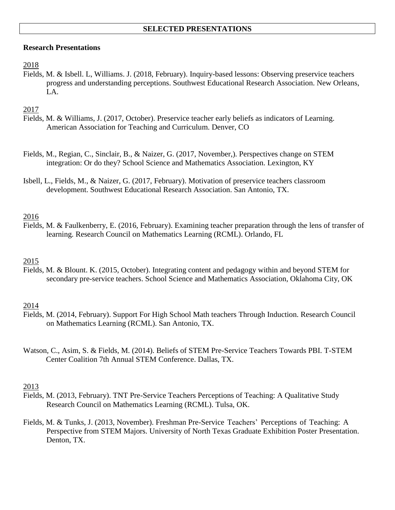## **Research Presentations**

## 2018

Fields, M. & Isbell. L, Williams. J. (2018, February). Inquiry-based lessons: Observing preservice teachers progress and understanding perceptions. Southwest Educational Research Association. New Orleans, LA.

# 2017

- Fields, M. & Williams, J. (2017, October). Preservice teacher early beliefs as indicators of Learning. American Association for Teaching and Curriculum. Denver, CO
- Fields, M., Regian, C., Sinclair, B., & Naizer, G. (2017, November,). Perspectives change on STEM integration: Or do they? School Science and Mathematics Association. Lexington, KY
- Isbell, L., Fields, M., & Naizer, G. (2017, February). Motivation of preservice teachers classroom development. Southwest Educational Research Association. San Antonio, TX.

# 2016

Fields, M. & Faulkenberry, E. (2016, February). Examining teacher preparation through the lens of transfer of learning. Research Council on Mathematics Learning (RCML). Orlando, FL

# 2015

Fields, M. & Blount. K. (2015, October). Integrating content and pedagogy within and beyond STEM for secondary pre-service teachers. School Science and Mathematics Association, Oklahoma City, OK

# 2014

- Fields, M. (2014, February). Support For High School Math teachers Through Induction. Research Council on Mathematics Learning (RCML). San Antonio, TX.
- Watson, C., Asim, S. & Fields, M. (2014). Beliefs of STEM Pre-Service Teachers Towards PBI. T-STEM Center Coalition 7th Annual STEM Conference. Dallas, TX.

### 2013

- Fields, M. (2013, February). TNT Pre-Service Teachers Perceptions of Teaching: A Qualitative Study Research Council on Mathematics Learning (RCML). Tulsa, OK.
- Fields, M. & Tunks, J. (2013, November). Freshman Pre-Service Teachers' Perceptions of Teaching: A Perspective from STEM Majors. University of North Texas Graduate Exhibition Poster Presentation. Denton, TX.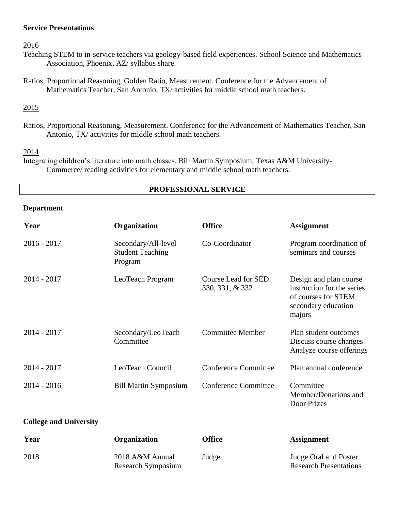## **Service Presentations**

2016

- Teaching STEM to in-service teachers via geology-based field experiences. School Science and Mathematics Association, Phoenix, AZ/ syllabus share.
- Ratios, Proportional Reasoning, Golden Ratio, Measurement. Conference for the Advancement of Mathematics Teacher, San Antonio, TX/ activities for middle school math teachers.

### 2015

Ratios, Proportional Reasoning, Measurement. Conference for the Advancement of Mathematics Teacher, San Antonio, TX/ activities for middle school math teachers.

### 2014

Integrating children's literature into math classes. Bill Martin Symposium, Texas A&M University-Commerce/ reading activities for elementary and middle school math teachers.

# **PROFESSIONAL SERVICE**

#### **Department**

| Year                          | Organization                                              | <b>Office</b>                                 | <b>Assignment</b>                                                                                            |
|-------------------------------|-----------------------------------------------------------|-----------------------------------------------|--------------------------------------------------------------------------------------------------------------|
| $2016 - 2017$                 | Secondary/All-level<br><b>Student Teaching</b><br>Program | Co-Coordinator                                | Program coordination of<br>seminars and courses                                                              |
| $2014 - 2017$                 | LeoTeach Program                                          | <b>Course Lead for SED</b><br>330, 331, & 332 | Design and plan course<br>instruction for the series<br>of courses for STEM<br>secondary education<br>majors |
| $2014 - 2017$                 | Secondary/LeoTeach<br>Committee                           | <b>Committee Member</b>                       | Plan student outcomes<br>Discuss course changes<br>Analyze course offerings                                  |
| $2014 - 2017$                 | LeoTeach Council                                          | <b>Conference Committee</b>                   | Plan annual conference                                                                                       |
| $2014 - 2016$                 | <b>Bill Martin Symposium</b>                              | <b>Conference Committee</b>                   | Committee<br>Member/Donations and<br>Door Prizes                                                             |
| <b>College and University</b> |                                                           |                                               |                                                                                                              |

| Year | <b>Organization</b>                   | Office | <b>Assignment</b>                                      |
|------|---------------------------------------|--------|--------------------------------------------------------|
| 2018 | 2018 A&M Annual<br>Research Symposium | Judge  | Judge Oral and Poster<br><b>Research Presentations</b> |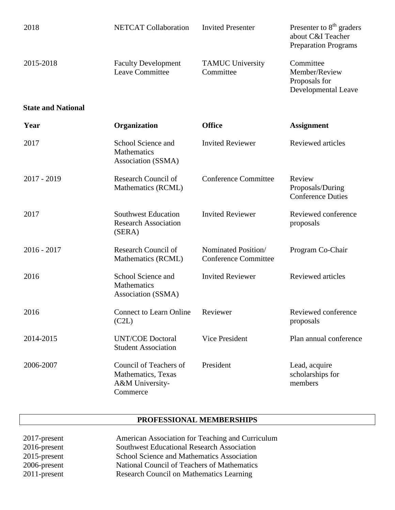| 2018                      | <b>NETCAT Collaboration</b>                                                 | <b>Invited Presenter</b>                           | Presenter to $8th$ graders<br>about C&I Teacher<br><b>Preparation Programs</b> |
|---------------------------|-----------------------------------------------------------------------------|----------------------------------------------------|--------------------------------------------------------------------------------|
| 2015-2018                 | <b>Faculty Development</b><br><b>Leave Committee</b>                        | <b>TAMUC University</b><br>Committee               | Committee<br>Member/Review<br>Proposals for<br>Developmental Leave             |
| <b>State and National</b> |                                                                             |                                                    |                                                                                |
| Year                      | Organization                                                                | <b>Office</b>                                      | <b>Assignment</b>                                                              |
| 2017                      | School Science and<br>Mathematics<br>Association (SSMA)                     | <b>Invited Reviewer</b>                            | Reviewed articles                                                              |
| 2017 - 2019               | Research Council of<br>Mathematics (RCML)                                   | <b>Conference Committee</b>                        | Review<br>Proposals/During<br><b>Conference Duties</b>                         |
| 2017                      | <b>Southwest Education</b><br><b>Research Association</b><br>(SERA)         | <b>Invited Reviewer</b>                            | Reviewed conference<br>proposals                                               |
| $2016 - 2017$             | Research Council of<br>Mathematics (RCML)                                   | Nominated Position/<br><b>Conference Committee</b> | Program Co-Chair                                                               |
| 2016                      | School Science and<br><b>Mathematics</b><br>Association (SSMA)              | <b>Invited Reviewer</b>                            | <b>Reviewed articles</b>                                                       |
| 2016                      | <b>Connect to Learn Online</b><br>(C2L)                                     | Reviewer                                           | Reviewed conference<br>proposals                                               |
| 2014-2015                 | <b>UNT/COE Doctoral</b><br><b>Student Association</b>                       | Vice President                                     | Plan annual conference                                                         |
| 2006-2007                 | Council of Teachers of<br>Mathematics, Texas<br>A&M University-<br>Commerce | President                                          | Lead, acquire<br>scholarships for<br>members                                   |

# **PROFESSIONAL MEMBERSHIPS**

| 2017-present    | American Association for Teaching and Curriculum  |
|-----------------|---------------------------------------------------|
| $2016$ -present | <b>Southwest Educational Research Association</b> |
| $2015$ -present | School Science and Mathematics Association        |
| 2006-present    | National Council of Teachers of Mathematics       |
| $2011$ -present | <b>Research Council on Mathematics Learning</b>   |